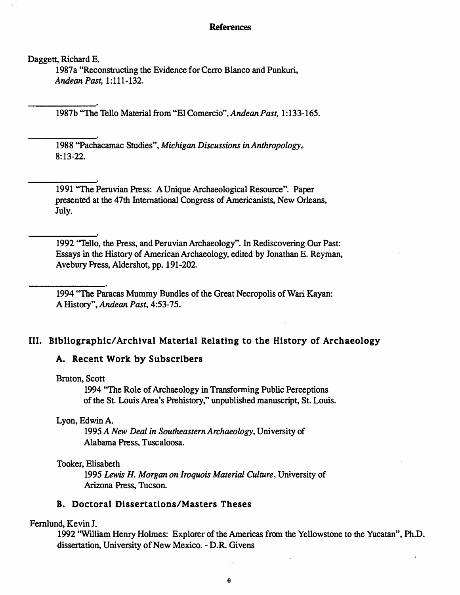#### References

Daggett, Richard E.

1987a "Reconstructing the Evidence for Cerro Blanco and Punkuri, Andean Past, 1:111-132.

1987b "The Tello Material from "El Comercio", Andean Past, 1:133- 165.

1988 "Pachacamac Studies", Michigan Discussions in Anthropology, 8: 13-22.

1991 ''The Peruvian Press: A Unique Archaeological Resource". Paper presented at the 47th International Congress of Americanists, New Orleans, July.

1992 "Tello, the Press, and Peruvian Archaeology". In Rediscovering Our Past: Essays in the History of American Archaeology, edited by Jonathan E. Reyman, Avebury Press, Aldershot, pp. 191-202.

1994 "The Paracas Mummy Bundles of the Great Necropolis of Wari Kayan: A History", Andean Past, 4:53-75.

DOI: http://dx.doi.org/10.5334/bha.05109

## Ill. Bibliographic/Archival Material Relating to the History of Archaeology

## A. Recent Work by Subscribers

#### Bruton, Scott

1994 "The Role of Archaeology in Transfonning Public Perceptions of the St. Louis Area's Prehistory," unpublished manuscript, St. Louis.

Lyon, Edwin A.

1995 A New Deal in Southeastern Archaeology, University of Alabama Press, Tuscaloosa.

#### Tooker, Elisabeth

1995 Lewis H. Morgan on Jroquois Material Culture, University of Arizona Press, Tucson.

## B. Doctoral Dissertations/Masters Theses

#### Fernlund, Kevin J.

1992 ''William Henry Holmes: Explorer of the Americas from the Yellowstone to the Yucatan", Ph.D. dissertation, University of New Mexico. - D.R. Givens

6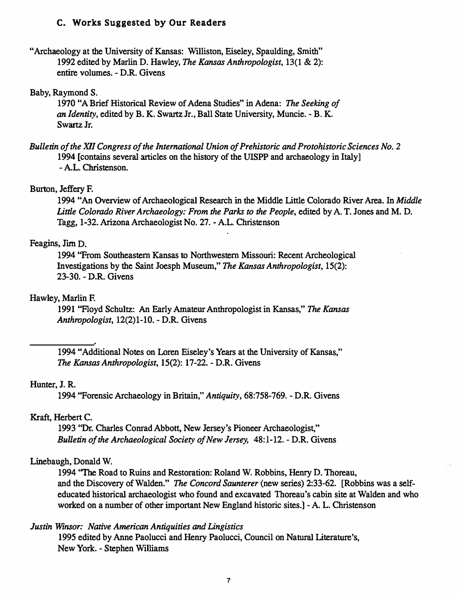# c. Works Suggested by Our Readers

"Archaeology at the University of Kansas: Williston, Eiseley, Spaulding, Smith" 1992 edited by Marlin D. Hawley, The Kansas Anthropologist, 13(1 & 2): entire volumes. - D.R. Givens

## Baby, Raymond S.

1970 "A Brief Historical Review of Adena Studies" in Adena: The Seeking of an Identity, edited by B. K. Swartz Jr., Ball State University, Muncie. - B. K. Swartz Jr.

Bulletin of the XlI Congress of the International Union of Prehistoric and Protohistoric Sciences No. 2 1994 [contains several articles on the history of the UISPP and archaeology in Italy] - AL. Christenson.

### Burton, Jeffery F.

1994 "An Overview of Archaeological Research in the Middle Little Colorado River Area. In Middle Little Colorado River Archaeology: From the Parks to the People, edited by A. T. Jones and M. D. Tagg, 1-32. Arizona Archaeologist No. 27. - AL. Christenson

# Feagins, Jim D.

1994 "From Southeastern Kansas to Northwestern Missouri: Recent Archeological Investigations by the Saint Joesph Museum," The Kansas Anthropologist, 15(2): 23-30. - D.R. Givens

# Hawley, Marlin F.

1991 "Floyd Schultz: An Early Amateur Anthropologist in Kansas," The Kansas Anthropologist, 12(2)1-10. - D.R. Givens

1994 "Additional Notes on Loren Eiseley's Years at the University of Kansas," The Kansas Anthropologist, 15(2): 17-22. - D.R: Givens

### Hunter, 1. R.

1994 "Forensic Archaeology in Britain," Antiquity, 68:758-769. - D.R. Givens

### Kraft, Herbert C.

1993 "Dr. Charles Conrad Abbott, New Jersey's Pioneer Archaeologist," Bulletin of the Archaeological Society of New Jersey, 48:1-12. - D.R. Givens

### Linebaugh, Donald W.

1994 ''The Road to Ruins and Restoration: Roland W. Robbins, Henry D. Thoreau, and the Discovery of Walden." The Concord Saunterer (new series) 2:33-62. [Robbins was a selfeducated historical archaeologist who found and excavated Thoreau's cabin site at Walden and who worked on a number of other important New England historic sites.] - A. L. Christenson

# Justin Winsor: Native American Antiquities and Lingistics

1995 edited by Anne Paolucci and Henry Paolucci, Council on Natural Literature's, New York. - Stephen Williams